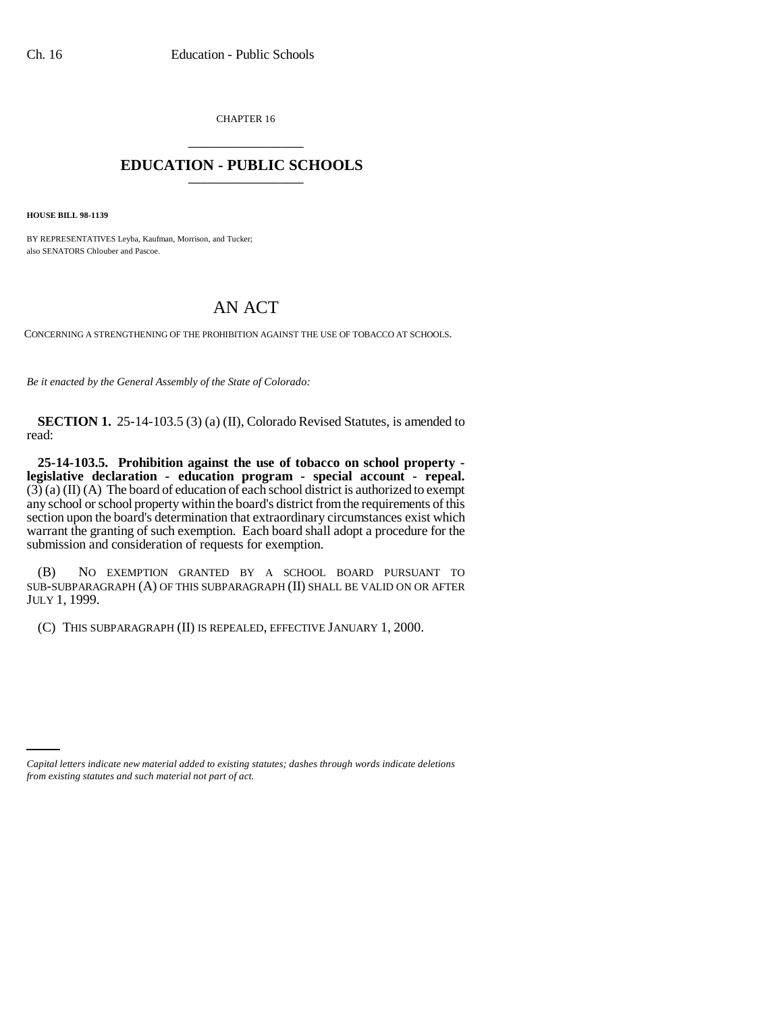CHAPTER 16 \_\_\_\_\_\_\_\_\_\_\_\_\_\_\_

## **EDUCATION - PUBLIC SCHOOLS** \_\_\_\_\_\_\_\_\_\_\_\_\_\_\_

**HOUSE BILL 98-1139**

BY REPRESENTATIVES Leyba, Kaufman, Morrison, and Tucker; also SENATORS Chlouber and Pascoe.

## AN ACT

CONCERNING A STRENGTHENING OF THE PROHIBITION AGAINST THE USE OF TOBACCO AT SCHOOLS.

*Be it enacted by the General Assembly of the State of Colorado:*

**SECTION 1.** 25-14-103.5 (3) (a) (II), Colorado Revised Statutes, is amended to read:

**25-14-103.5. Prohibition against the use of tobacco on school property legislative declaration - education program - special account - repeal.**  $(3)$  (a) (II) (A) The board of education of each school district is authorized to exempt any school or school property within the board's district from the requirements of this section upon the board's determination that extraordinary circumstances exist which warrant the granting of such exemption. Each board shall adopt a procedure for the submission and consideration of requests for exemption.

(B) NO EXEMPTION GRANTED BY A SCHOOL BOARD PURSUANT TO SUB-SUBPARAGRAPH (A) OF THIS SUBPARAGRAPH (II) SHALL BE VALID ON OR AFTER JULY 1, 1999.

(C) THIS SUBPARAGRAPH (II) IS REPEALED, EFFECTIVE JANUARY 1, 2000.

*Capital letters indicate new material added to existing statutes; dashes through words indicate deletions from existing statutes and such material not part of act.*